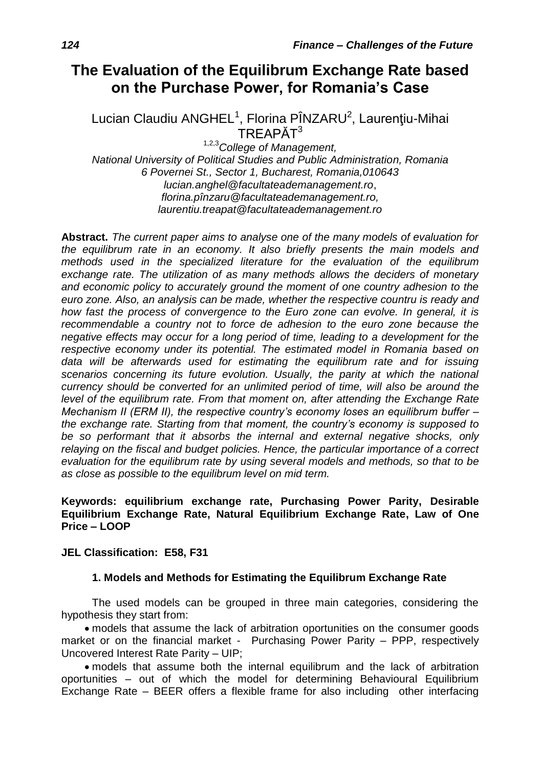# **The Evaluation of the Equilibrum Exchange Rate based on the Purchase Power, for Romania's Case**

Lucian Claudiu ANGHEL<sup>1</sup>, Florina PÎNZARU<sup>2</sup>, Laurențiu-Mihai TRFAPĂT<sup>3</sup>

1,2,3*College of Management, National University of Political Studies and Public Administration, Romania 6 Povernei St., Sector 1, Bucharest, Romania,010643 lucian.anghel@facultateademanagement.ro*, *[florina.pînzaru@facultateademanagement.ro,](mailto:florina.pînzaru@facultateademanagement.ro) laurentiu.treapat@facultateademanagement.ro*

**Abstract.** *The current paper aims to analyse one of the many models of evaluation for the equilibrum rate in an economy. It also briefly presents the main models and methods used in the specialized literature for the evaluation of the equilibrum exchange rate. The utilization of as many methods allows the deciders of monetary and economic policy to accurately ground the moment of one country adhesion to the euro zone. Also, an analysis can be made, whether the respective countru is ready and how fast the process of convergence to the Euro zone can evolve. In general, it is recommendable a country not to force de adhesion to the euro zone because the negative effects may occur for a long period of time, leading to a development for the respective economy under its potential. The estimated model in Romania based on data will be afterwards used for estimating the equilibrum rate and for issuing scenarios concerning its future evolution. Usually, the parity at which the national currency should be converted for an unlimited period of time, will also be around the level of the equilibrum rate. From that moment on, after attending the Exchange Rate Mechanism II (ERM II), the respective country's economy loses an equilibrum buffer – the exchange rate. Starting from that moment, the country's economy is supposed to be so performant that it absorbs the internal and external negative shocks, only relaying on the fiscal and budget policies. Hence, the particular importance of a correct evaluation for the equilibrum rate by using several models and methods, so that to be as close as possible to the equilibrum level on mid term.*

### **Keywords: equilibrium exchange rate, Purchasing Power Parity, Desirable Equilibrium Exchange Rate, Natural Equilibrium Exchange Rate, Law of One Price – LOOP**

### **JEL Classification: E58, F31**

### **1. Models and Methods for Estimating the Equilibrum Exchange Rate**

The used models can be grouped in three main categories, considering the hypothesis they start from:

 models that assume the lack of arbitration oportunities on the consumer goods market or on the financial market - Purchasing Power Parity – PPP, respectively Uncovered Interest Rate Parity – UIP;

 models that assume both the internal equilibrum and the lack of arbitration oportunities – out of which the model for determining Behavioural Equilibrium Exchange Rate – BEER offers a flexible frame for also including other interfacing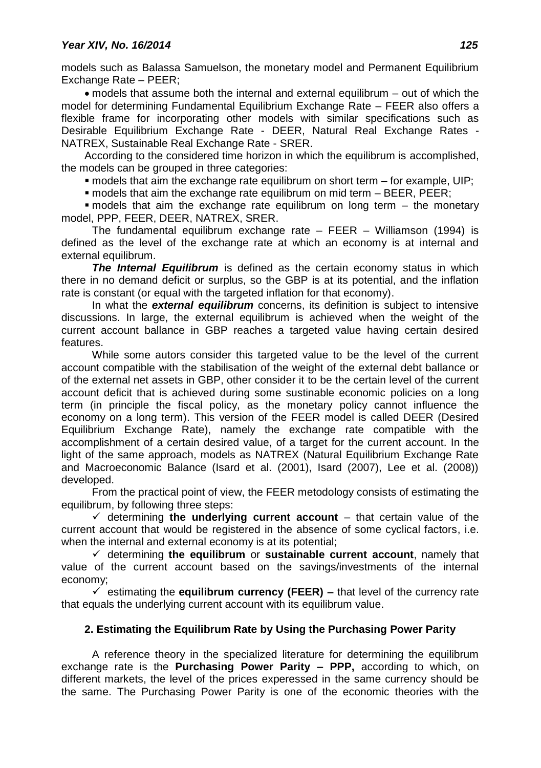models such as Balassa Samuelson, the monetary model and Permanent Equilibrium Exchange Rate – PEER;

 models that assume both the internal and external equilibrum – out of which the model for determining Fundamental Equilibrium Exchange Rate – FEER also offers a flexible frame for incorporating other models with similar specifications such as Desirable Equilibrium Exchange Rate - DEER, Natural Real Exchange Rates - NATREX, Sustainable Real Exchange Rate - SRER.

According to the considered time horizon in which the equilibrum is accomplished, the models can be grouped in three categories:

 $\blacksquare$  models that aim the exchange rate equilibrum on short term – for example, UIP;

models that aim the exchange rate equilibrum on mid term – BEER, PEER;

 $\blacksquare$  models that aim the exchange rate equilibrum on long term  $-$  the monetary model, PPP, FEER, DEER, NATREX, SRER.

The fundamental equilibrum exchange rate  $-$  FEER  $-$  Williamson (1994) is defined as the level of the exchange rate at which an economy is at internal and external equilibrum.

**The Internal Equilibrum** is defined as the certain economy status in which there in no demand deficit or surplus, so the GBP is at its potential, and the inflation rate is constant (or equal with the targeted inflation for that economy).

In what the *external equilibrum* concerns, its definition is subject to intensive discussions. In large, the external equilibrum is achieved when the weight of the current account ballance in GBP reaches a targeted value having certain desired features.

While some autors consider this targeted value to be the level of the current account compatible with the stabilisation of the weight of the external debt ballance or of the external net assets in GBP, other consider it to be the certain level of the current account deficit that is achieved during some sustinable economic policies on a long term (in principle the fiscal policy, as the monetary policy cannot influence the economy on a long term). This version of the FEER model is called DEER (Desired Equilibrium Exchange Rate), namely the exchange rate compatible with the accomplishment of a certain desired value, of a target for the current account. In the light of the same approach, models as NATREX (Natural Equilibrium Exchange Rate and Macroeconomic Balance (Isard et al. (2001), Isard (2007), Lee et al. (2008)) developed.

From the practical point of view, the FEER metodology consists of estimating the equilibrum, by following three steps:

 $\checkmark$  determining **the underlying current account** – that certain value of the current account that would be registered in the absence of some cyclical factors, i.e. when the internal and external economy is at its potential;

 $\checkmark$  determining the equilibrum or sustainable current account, namely that value of the current account based on the savings/investments of the internal economy;

 $\checkmark$  estimating the **equilibrum currency (FEER)** – that level of the currency rate that equals the underlying current account with its equilibrum value.

## **2. Estimating the Equilibrum Rate by Using the Purchasing Power Parity**

A reference theory in the specialized literature for determining the equilibrum exchange rate is the **Purchasing Power Parity – PPP,** according to which, on different markets, the level of the prices experessed in the same currency should be the same. The Purchasing Power Parity is one of the economic theories with the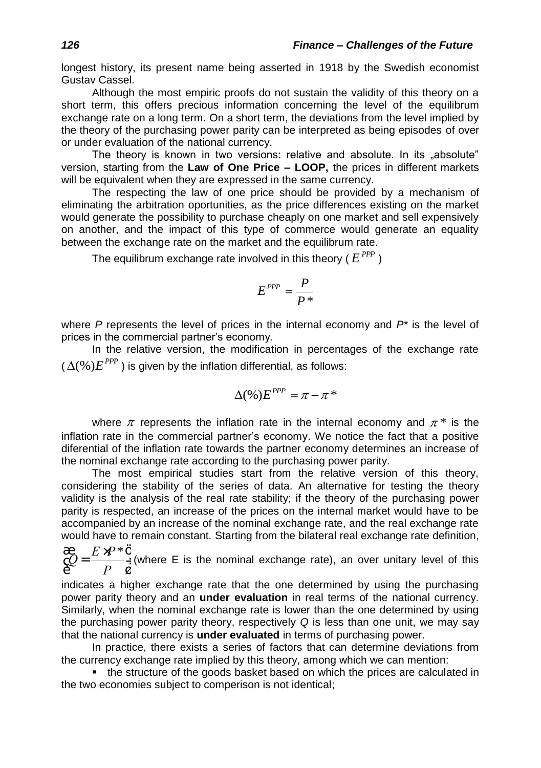longest history, its present name being asserted in 1918 by the Swedish economist Gustav Cassel.

Although the most empiric proofs do not sustain the validity of this theory on a short term, this offers precious information concerning the level of the equilibrum exchange rate on a long term. On a short term, the deviations from the level implied by the theory of the purchasing power parity can be interpreted as being episodes of over or under evaluation of the national currency.

The theory is known in two versions: relative and absolute. In its "absolute" version, starting from the **Law of One Price – LOOP,** the prices in different markets will be equivalent when they are expressed in the same currency.

The respecting the law of one price should be provided by a mechanism of eliminating the arbitration oportunities, as the price differences existing on the market would generate the possibility to purchase cheaply on one market and sell expensively on another, and the impact of this type of commerce would generate an equality between the exchange rate on the market and the equilibrum rate.

The equilibrum exchange rate involved in this theory (  $E^{PPP}$  )

$$
E^{PPP}=\frac{P}{P^*}
$$

where *P* represents the level of prices in the internal economy and *P\** is the level of prices in the commercial partner's economy.

In the relative version, the modification in percentages of the exchange rate ( $\Delta$ (%) $E^{PPP}$  ) is given by the inflation differential, as follows:

$$
\Delta(\%)E^{PPP}=\pi-\pi^*
$$

where  $\pi$  represents the inflation rate in the internal economy and  $\pi^*$  is the inflation rate in the commercial partner's economy. We notice the fact that a positive diferential of the inflation rate towards the partner economy determines an increase of the nominal exchange rate according to the purchasing power parity.

The most empirical studies start from the relative version of this theory, considering the stability of the series of data. An alternative for testing the theory validity is the analysis of the real rate stability; if the theory of the purchasing power parity is respected, an increase of the prices on the internal market would have to be accompanied by an increase of the nominal exchange rate, and the real exchange rate would have to remain constant. Starting from the bilateral real exchange rate definition,

 $Q = \frac{E \times P^*}{P}$ *P* æ è ç ö ø  $\frac{1}{\tau}$  (where E is the nominal exchange rate), an over unitary level of this

indicates a higher exchange rate that the one determined by using the purchasing power parity theory and an **under evaluation** in real terms of the national currency. Similarly, when the nominal exchange rate is lower than the one determined by using the purchasing power parity theory, respectively *Q* is less than one unit, we may say that the national currency is **under evaluated** in terms of purchasing power.

In practice, there exists a series of factors that can determine deviations from the currency exchange rate implied by this theory, among which we can mention:

• the structure of the goods basket based on which the prices are calculated in the two economies subject to comperison is not identical;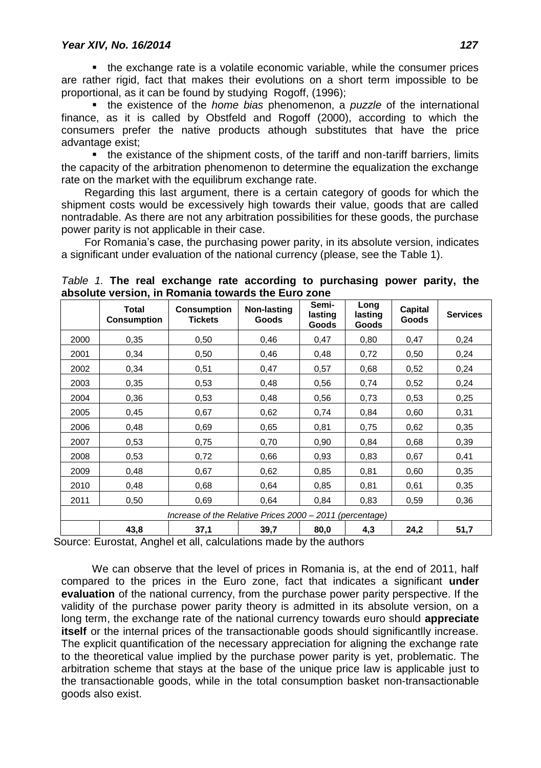• the exchange rate is a volatile economic variable, while the consumer prices are rather rigid, fact that makes their evolutions on a short term impossible to be proportional, as it can be found by studying Rogoff, (1996);

 the existence of the *home bias* phenomenon, a *puzzle* of the international finance, as it is called by Obstfeld and Rogoff (2000), according to which the consumers prefer the native products athough substitutes that have the price advantage exist;

• the existance of the shipment costs, of the tariff and non-tariff barriers, limits the capacity of the arbitration phenomenon to determine the equalization the exchange rate on the market with the equilibrum exchange rate.

Regarding this last argument, there is a certain category of goods for which the shipment costs would be excessively high towards their value, goods that are called nontradable. As there are not any arbitration possibilities for these goods, the purchase power parity is not applicable in their case.

For Romania's case, the purchasing power parity, in its absolute version, indicates a significant under evaluation of the national currency (please, see the Table 1).

|                                                          | Total<br><b>Consumption</b> | <b>Consumption</b><br><b>Tickets</b> | Non-lasting<br>Goods | Semi-<br>lasting<br>Goods | Long<br>lasting<br>Goods | Capital<br><b>Goods</b> | <b>Services</b> |
|----------------------------------------------------------|-----------------------------|--------------------------------------|----------------------|---------------------------|--------------------------|-------------------------|-----------------|
| 2000                                                     | 0,35                        | 0,50                                 | 0,46                 | 0,47                      | 0,80                     | 0,47                    | 0,24            |
| 2001                                                     | 0,34                        | 0,50                                 | 0,46                 | 0,48                      | 0,72                     | 0,50                    | 0,24            |
| 2002                                                     | 0,34                        | 0,51                                 | 0,47                 | 0,57                      | 0,68                     | 0,52                    | 0,24            |
| 2003                                                     | 0,35                        | 0,53                                 | 0,48                 | 0,56                      | 0,74                     | 0,52                    | 0,24            |
| 2004                                                     | 0,36                        | 0,53                                 | 0,48                 | 0,56                      | 0,73                     | 0,53                    | 0,25            |
| 2005                                                     | 0,45                        | 0,67                                 | 0,62                 | 0,74                      | 0,84                     | 0,60                    | 0,31            |
| 2006                                                     | 0,48                        | 0,69                                 | 0.65                 | 0,81                      | 0,75                     | 0,62                    | 0,35            |
| 2007                                                     | 0,53                        | 0,75                                 | 0,70                 | 0,90                      | 0,84                     | 0,68                    | 0,39            |
| 2008                                                     | 0,53                        | 0,72                                 | 0,66                 | 0,93                      | 0,83                     | 0,67                    | 0,41            |
| 2009                                                     | 0,48                        | 0,67                                 | 0,62                 | 0,85                      | 0,81                     | 0,60                    | 0,35            |
| 2010                                                     | 0,48                        | 0,68                                 | 0.64                 | 0,85                      | 0,81                     | 0,61                    | 0,35            |
| 2011                                                     | 0,50                        | 0,69                                 | 0.64                 | 0,84                      | 0,83                     | 0,59                    | 0,36            |
| Increase of the Relative Prices 2000 - 2011 (percentage) |                             |                                      |                      |                           |                          |                         |                 |
|                                                          | 43,8                        | 37,1                                 | 39,7                 | 80,0                      | 4,3                      | 24,2                    | 51,7            |

*Table 1.* **The real exchange rate according to purchasing power parity, the absolute version, in Romania towards the Euro zone**

Source: Eurostat, Anghel et all, calculations made by the authors

We can observe that the level of prices in Romania is, at the end of 2011, half compared to the prices in the Euro zone, fact that indicates a significant **under evaluation** of the national currency, from the purchase power parity perspective. If the validity of the purchase power parity theory is admitted in its absolute version, on a long term, the exchange rate of the national currency towards euro should **appreciate itself** or the internal prices of the transactionable goods should significantlly increase. The explicit quantification of the necessary appreciation for aligning the exchange rate to the theoretical value implied by the purchase power parity is yet, problematic. The arbitration scheme that stays at the base of the unique price law is applicable just to the transactionable goods, while in the total consumption basket non-transactionable goods also exist.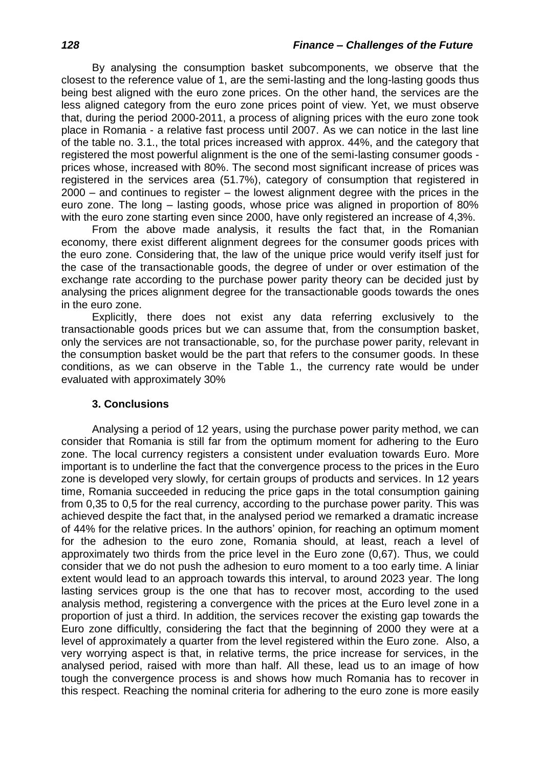By analysing the consumption basket subcomponents, we observe that the closest to the reference value of 1, are the semi-lasting and the long-lasting goods thus being best aligned with the euro zone prices. On the other hand, the services are the less aligned category from the euro zone prices point of view. Yet, we must observe that, during the period 2000-2011, a process of aligning prices with the euro zone took place in Romania - a relative fast process until 2007. As we can notice in the last line of the table no. 3.1., the total prices increased with approx. 44%, and the category that registered the most powerful alignment is the one of the semi-lasting consumer goods prices whose, increased with 80%. The second most significant increase of prices was registered in the services area (51.7%), category of consumption that registered in 2000 – and continues to register – the lowest alignment degree with the prices in the euro zone. The long – lasting goods, whose price was aligned in proportion of 80% with the euro zone starting even since 2000, have only registered an increase of 4,3%.

From the above made analysis, it results the fact that, in the Romanian economy, there exist different alignment degrees for the consumer goods prices with the euro zone. Considering that, the law of the unique price would verify itself just for the case of the transactionable goods, the degree of under or over estimation of the exchange rate according to the purchase power parity theory can be decided just by analysing the prices alignment degree for the transactionable goods towards the ones in the euro zone.

Explicitly, there does not exist any data referring exclusively to the transactionable goods prices but we can assume that, from the consumption basket, only the services are not transactionable, so, for the purchase power parity, relevant in the consumption basket would be the part that refers to the consumer goods. In these conditions, as we can observe in the Table 1., the currency rate would be under evaluated with approximately 30%

### **3. Conclusions**

Analysing a period of 12 years, using the purchase power parity method, we can consider that Romania is still far from the optimum moment for adhering to the Euro zone. The local currency registers a consistent under evaluation towards Euro. More important is to underline the fact that the convergence process to the prices in the Euro zone is developed very slowly, for certain groups of products and services. In 12 years time, Romania succeeded in reducing the price gaps in the total consumption gaining from 0,35 to 0,5 for the real currency, according to the purchase power parity. This was achieved despite the fact that, in the analysed period we remarked a dramatic increase of 44% for the relative prices. In the authors' opinion, for reaching an optimum moment for the adhesion to the euro zone, Romania should, at least, reach a level of approximately two thirds from the price level in the Euro zone (0,67). Thus, we could consider that we do not push the adhesion to euro moment to a too early time. A liniar extent would lead to an approach towards this interval, to around 2023 year. The long lasting services group is the one that has to recover most, according to the used analysis method, registering a convergence with the prices at the Euro level zone in a proportion of just a third. In addition, the services recover the existing gap towards the Euro zone difficultly, considering the fact that the beginning of 2000 they were at a level of approximately a quarter from the level registered within the Euro zone. Also, a very worrying aspect is that, in relative terms, the price increase for services, in the analysed period, raised with more than half. All these, lead us to an image of how tough the convergence process is and shows how much Romania has to recover in this respect. Reaching the nominal criteria for adhering to the euro zone is more easily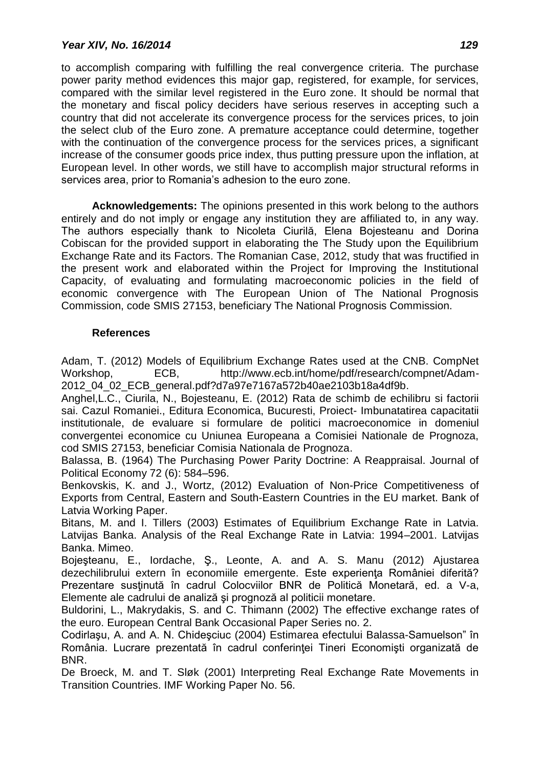to accomplish comparing with fulfilling the real convergence criteria. The purchase power parity method evidences this major gap, registered, for example, for services, compared with the similar level registered in the Euro zone. It should be normal that the monetary and fiscal policy deciders have serious reserves in accepting such a country that did not accelerate its convergence process for the services prices, to join the select club of the Euro zone. A premature acceptance could determine, together with the continuation of the convergence process for the services prices, a significant increase of the consumer goods price index, thus putting pressure upon the inflation, at European level. In other words, we still have to accomplish major structural reforms in services area, prior to Romania's adhesion to the euro zone.

**Acknowledgements:** The opinions presented in this work belong to the authors entirely and do not imply or engage any institution they are affiliated to, in any way. The authors especially thank to Nicoleta Ciurilă, Elena Bojesteanu and Dorina Cobiscan for the provided support in elaborating the The Study upon the Equilibrium Exchange Rate and its Factors. The Romanian Case, 2012, study that was fructified in the present work and elaborated within the Project for Improving the Institutional Capacity, of evaluating and formulating macroeconomic policies in the field of economic convergence with The European Union of The National Prognosis Commission, code SMIS 27153, beneficiary The National Prognosis Commission.

### **References**

Adam, T. (2012) Models of Equilibrium Exchange Rates used at the CNB. CompNet Workshop, ECB, http://www.ecb.int/home/pdf/research/compnet/Adam-2012\_04\_02\_ECB\_general.pdf?d7a97e7167a572b40ae2103b18a4df9b.

Anghel,L.C., Ciurila, N., Bojesteanu, E. (2012) Rata de schimb de echilibru si factorii sai. Cazul Romaniei., Editura Economica, Bucuresti, Proiect- Imbunatatirea capacitatii institutionale, de evaluare si formulare de politici macroeconomice in domeniul convergentei economice cu Uniunea Europeana a Comisiei Nationale de Prognoza, cod SMIS 27153, beneficiar Comisia Nationala de Prognoza.

Balassa, B. (1964) The Purchasing Power Parity Doctrine: A Reappraisal. Journal of Political Economy 72 (6): 584–596.

Benkovskis, K. and J., Wortz, (2012) Evaluation of Non-Price Competitiveness of Exports from Central, Eastern and South-Eastern Countries in the EU market. Bank of Latvia Working Paper.

Bitans, M. and I. Tillers (2003) Estimates of Equilibrium Exchange Rate in Latvia. Latvijas Banka. Analysis of the Real Exchange Rate in Latvia: 1994–2001. Latvijas Banka. Mimeo.

Bojeşteanu, E., Iordache, Ş., Leonte, A. and A. S. Manu (2012) Ajustarea dezechilibrului extern în economiile emergente. Este experienţa României diferită? Prezentare susţinută în cadrul Colocviilor BNR de Politică Monetară, ed. a V-a, Elemente ale cadrului de analiză şi prognoză al politicii monetare.

Buldorini, L., Makrydakis, S. and C. Thimann (2002) The effective exchange rates of the euro. European Central Bank Occasional Paper Series no. 2.

Codirlaşu, A. and A. N. Chideşciuc (2004) Estimarea efectului Balassa-Samuelson" în România. Lucrare prezentată în cadrul conferinței Tineri Economiști organizată de BNR.

De Broeck, M. and T. Sløk (2001) Interpreting Real Exchange Rate Movements in Transition Countries. IMF Working Paper No. 56.